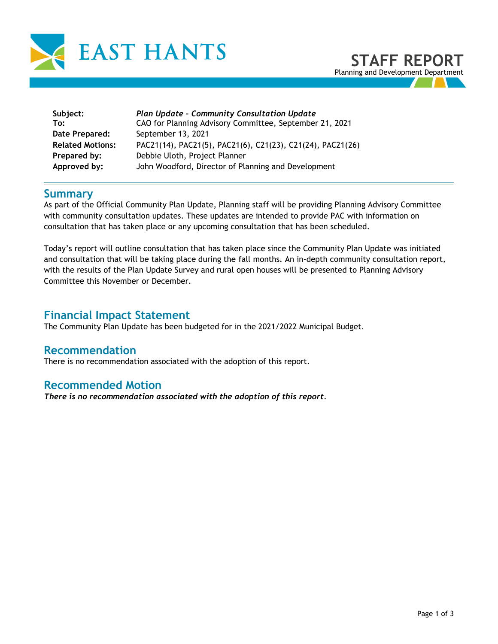

**Subject:** *Plan Update – Community Consultation Update* **To:** CAO for Planning Advisory Committee, September 21, 2021 **Date Prepared:** September 13, 2021 **Related Motions:** PAC21(14), PAC21(5), PAC21(6), C21(23), C21(24), PAC21(26) **Prepared by:** Debbie Uloth, Project Planner **Approved by:** John Woodford, Director of Planning and Development

#### **Summary**

As part of the Official Community Plan Update, Planning staff will be providing Planning Advisory Committee with community consultation updates. These updates are intended to provide PAC with information on consultation that has taken place or any upcoming consultation that has been scheduled.

Today's report will outline consultation that has taken place since the Community Plan Update was initiated and consultation that will be taking place during the fall months. An in-depth community consultation report, with the results of the Plan Update Survey and rural open houses will be presented to Planning Advisory Committee this November or December.

### **Financial Impact Statement**

The Community Plan Update has been budgeted for in the 2021/2022 Municipal Budget.

#### **Recommendation**

There is no recommendation associated with the adoption of this report.

#### **Recommended Motion**

*There is no recommendation associated with the adoption of this report.*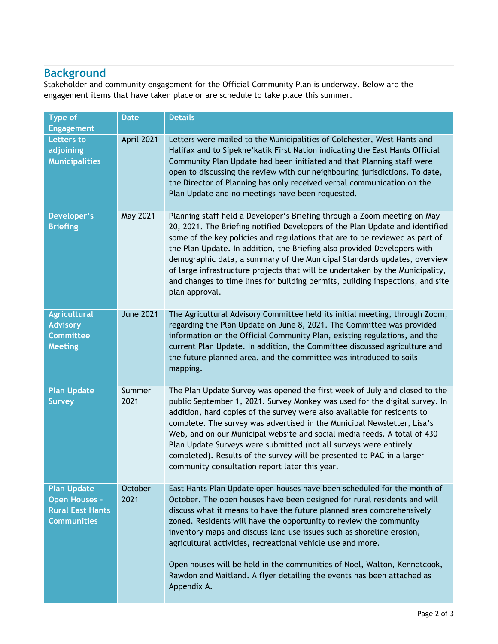# **Background**

Stakeholder and community engagement for the Official Community Plan is underway. Below are the engagement items that have taken place or are schedule to take place this summer.

| <b>Type of</b><br><b>Engagement</b>                                                         | <b>Date</b>      | <b>Details</b>                                                                                                                                                                                                                                                                                                                                                                                                                                                                                                                                                                                                  |
|---------------------------------------------------------------------------------------------|------------------|-----------------------------------------------------------------------------------------------------------------------------------------------------------------------------------------------------------------------------------------------------------------------------------------------------------------------------------------------------------------------------------------------------------------------------------------------------------------------------------------------------------------------------------------------------------------------------------------------------------------|
| <b>Letters to</b><br>adjoining<br><b>Municipalities</b>                                     | April 2021       | Letters were mailed to the Municipalities of Colchester, West Hants and<br>Halifax and to Sipekne' katik First Nation indicating the East Hants Official<br>Community Plan Update had been initiated and that Planning staff were<br>open to discussing the review with our neighbouring jurisdictions. To date,<br>the Director of Planning has only received verbal communication on the<br>Plan Update and no meetings have been requested.                                                                                                                                                                  |
| Developer's<br><b>Briefing</b>                                                              | May 2021         | Planning staff held a Developer's Briefing through a Zoom meeting on May<br>20, 2021. The Briefing notified Developers of the Plan Update and identified<br>some of the key policies and regulations that are to be reviewed as part of<br>the Plan Update. In addition, the Briefing also provided Developers with<br>demographic data, a summary of the Municipal Standards updates, overview<br>of large infrastructure projects that will be undertaken by the Municipality,<br>and changes to time lines for building permits, building inspections, and site<br>plan approval.                            |
| <b>Agricultural</b><br><b>Advisory</b><br><b>Committee</b><br><b>Meeting</b>                | <b>June 2021</b> | The Agricultural Advisory Committee held its initial meeting, through Zoom,<br>regarding the Plan Update on June 8, 2021. The Committee was provided<br>information on the Official Community Plan, existing regulations, and the<br>current Plan Update. In addition, the Committee discussed agriculture and<br>the future planned area, and the committee was introduced to soils<br>mapping.                                                                                                                                                                                                                |
| <b>Plan Update</b><br><b>Survey</b>                                                         | Summer<br>2021   | The Plan Update Survey was opened the first week of July and closed to the<br>public September 1, 2021. Survey Monkey was used for the digital survey. In<br>addition, hard copies of the survey were also available for residents to<br>complete. The survey was advertised in the Municipal Newsletter, Lisa's<br>Web, and on our Municipal website and social media feeds. A total of 430<br>Plan Update Surveys were submitted (not all surveys were entirely<br>completed). Results of the survey will be presented to PAC in a larger<br>community consultation report later this year.                   |
| <b>Plan Update</b><br><b>Open Houses -</b><br><b>Rural East Hants</b><br><b>Communities</b> | October<br>2021  | East Hants Plan Update open houses have been scheduled for the month of<br>October. The open houses have been designed for rural residents and will<br>discuss what it means to have the future planned area comprehensively<br>zoned. Residents will have the opportunity to review the community<br>inventory maps and discuss land use issues such as shoreline erosion,<br>agricultural activities, recreational vehicle use and more.<br>Open houses will be held in the communities of Noel, Walton, Kennetcook,<br>Rawdon and Maitland. A flyer detailing the events has been attached as<br>Appendix A. |